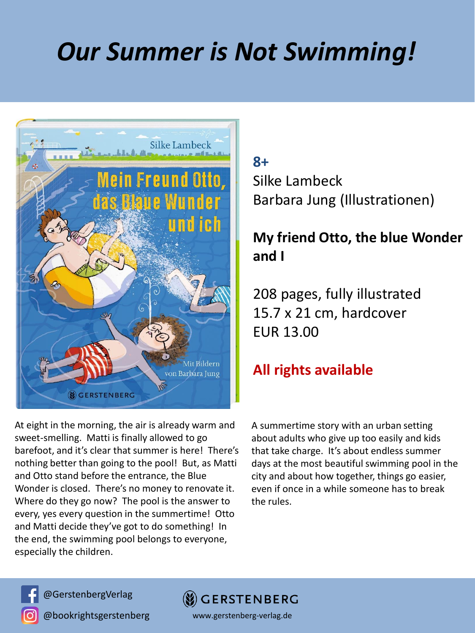## *Our Summer is Not Swimming!*



At eight in the morning, the air is already warm and sweet-smelling. Matti is finally allowed to go barefoot, and it's clear that summer is here! There's nothing better than going to the pool! But, as Matti and Otto stand before the entrance, the Blue Wonder is closed. There's no money to renovate it. Where do they go now? The pool is the answer to every, yes every question in the summertime! Otto and Matti decide they've got to do something! In the end, the swimming pool belongs to everyone, especially the children.

## **8+**

Silke Lambeck Barbara Jung (Illustrationen)

## **My friend Otto, the blue Wonder and I**

208 pages, fully illustrated 15.7 x 21 cm, hardcover EUR 13.00

## **All rights available**

A summertime story with an urban setting about adults who give up too easily and kids that take charge. It's about endless summer days at the most beautiful swimming pool in the city and about how together, things go easier, even if once in a while someone has to break the rules.



@GerstenbergVerlag

@bookrightsgerstenberg



www.gerstenberg-verlag.de